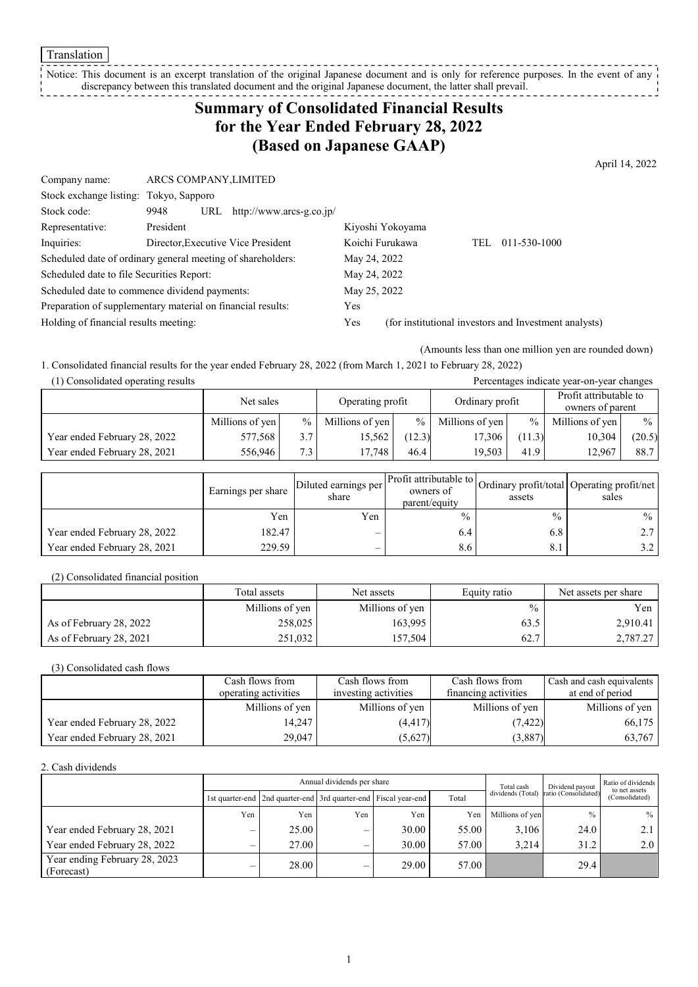**Translation** 

#### Notice: This document is an excerpt translation of the original Japanese document and is only for reference purposes. In the event of any discrepancy between this translated document and the original Japanese document, the latter shall prevail. \_ \_ \_ \_ \_ \_ \_ \_

# **Summary of Consolidated Financial Results for the Year Ended February 28, 2022 (Based on Japanese GAAP)**

April 14, 2022

| Company name:                                               | ARCS COMPANY, LIMITED |     |                                    |                 |                  |     |                                                       |  |
|-------------------------------------------------------------|-----------------------|-----|------------------------------------|-----------------|------------------|-----|-------------------------------------------------------|--|
| Stock exchange listing: Tokyo, Sapporo                      |                       |     |                                    |                 |                  |     |                                                       |  |
| Stock code:                                                 | 9948                  | URL | http://www.arcs-g.co.jp/           |                 |                  |     |                                                       |  |
| Representative:                                             | President             |     |                                    |                 | Kiyoshi Yokoyama |     |                                                       |  |
| Inquiries:                                                  |                       |     | Director, Executive Vice President | Koichi Furukawa |                  | TEL | 011-530-1000                                          |  |
| Scheduled date of ordinary general meeting of shareholders: |                       |     |                                    | May 24, 2022    |                  |     |                                                       |  |
| Scheduled date to file Securities Report:                   |                       |     |                                    | May 24, 2022    |                  |     |                                                       |  |
| Scheduled date to commence dividend payments:               |                       |     | May 25, 2022                       |                 |                  |     |                                                       |  |
| Preparation of supplementary material on financial results: |                       |     |                                    | Yes             |                  |     |                                                       |  |
| Holding of financial results meeting:                       |                       |     |                                    | Yes             |                  |     | (for institutional investors and Investment analysts) |  |
|                                                             |                       |     |                                    |                 |                  |     |                                                       |  |

(Amounts less than one million yen are rounded down)

1. Consolidated financial results for the year ended February 28, 2022 (from March 1, 2021 to February 28, 2022)

(1) Consolidated operating results Percentages indicate year-on-year changes

|                              | Net sales       |        | Operating profit |        | Ordinary profit |               | Profit attributable to<br>owners of parent |        |
|------------------------------|-----------------|--------|------------------|--------|-----------------|---------------|--------------------------------------------|--------|
|                              | Millions of yen | $\%$ 1 | Millions of yen  | $\%$   | Millions of yen | $\frac{0}{0}$ | Millions of yen                            | $\%$   |
| Year ended February 28, 2022 | 577,568         | 3.7    | 15,562           | (12.3) | 17,306          | (11.3)        | 10,304                                     | (20.5) |
| Year ended February 28, 2021 | 556,946         | 7.3    | 17.748           | 46.4   | 19.503          | 41.9          | 12.967                                     | 88.7   |

|                              | Earnings per share | Diluted earnings per<br>share | parent/equity | assets        | Arr Profit attributable to Ordinary profit/total Operating profit/net '<br>sales |
|------------------------------|--------------------|-------------------------------|---------------|---------------|----------------------------------------------------------------------------------|
|                              | Yen                | Yen                           | $\frac{0}{0}$ | $\frac{0}{0}$ | $\frac{0}{0}$                                                                    |
| Year ended February 28, 2022 | 182.47             | –                             | 6.4           | 6.8           |                                                                                  |
| Year ended February 28, 2021 | 229.59             | —                             | 8.6           | 8.1           |                                                                                  |

(2) Consolidated financial position

|                         | Total assets    | Net assets      | Equity ratio  | Net assets per share |
|-------------------------|-----------------|-----------------|---------------|----------------------|
|                         | Millions of yen | Millions of yen | $\frac{0}{0}$ | Yen                  |
| As of February 28, 2022 | 258,025         | 163,995         | 63.5          | 2,910.41             |
| As of February 28, 2021 | 251,032         | 157,504         | 62.7          | 2,787.27             |

(3) Consolidated cash flows

|                              | Cash flows from      | Cash flows from      | Cash flows from      | Cash and cash equivalents |
|------------------------------|----------------------|----------------------|----------------------|---------------------------|
|                              | operating activities | investing activities | financing activities | at end of period          |
|                              | Millions of yen      | Millions of yen      | Millions of yen      | Millions of yen           |
| Year ended February 28, 2022 | 14.247               | (4, 417)             | (7, 422)             | 66,175                    |
| Year ended February 28, 2021 | 29.047               | (5,627)              | (3,887)              | 63,767                    |

2. Cash dividends

|                                             |     | Annual dividends per share                                            |     |       |       |                   | Dividend payout      | Ratio of dividends<br>to net assets |
|---------------------------------------------|-----|-----------------------------------------------------------------------|-----|-------|-------|-------------------|----------------------|-------------------------------------|
|                                             |     | 1st quarter-end   2nd quarter-end   3rd quarter-end   Fiscal year-end |     |       | Total | dividends (Total) | ratio (Consolidated) | (Consolidated)                      |
|                                             | Yen | Yen                                                                   | Yen | Yen   | Yen   | Millions of yen   | $\%$                 | $\%$                                |
| Year ended February 28, 2021                |     | 25.00                                                                 | _   | 30.00 | 55.00 | 3.106             | 24.0                 |                                     |
| Year ended February 28, 2022                |     | 27.00                                                                 |     | 30.00 | 57.00 | 3.214             | 31.2                 | 2.0                                 |
| Year ending February 28, 2023<br>(Forecast) |     | 28.00                                                                 | _   | 29.00 | 57.00 |                   | 29.4                 |                                     |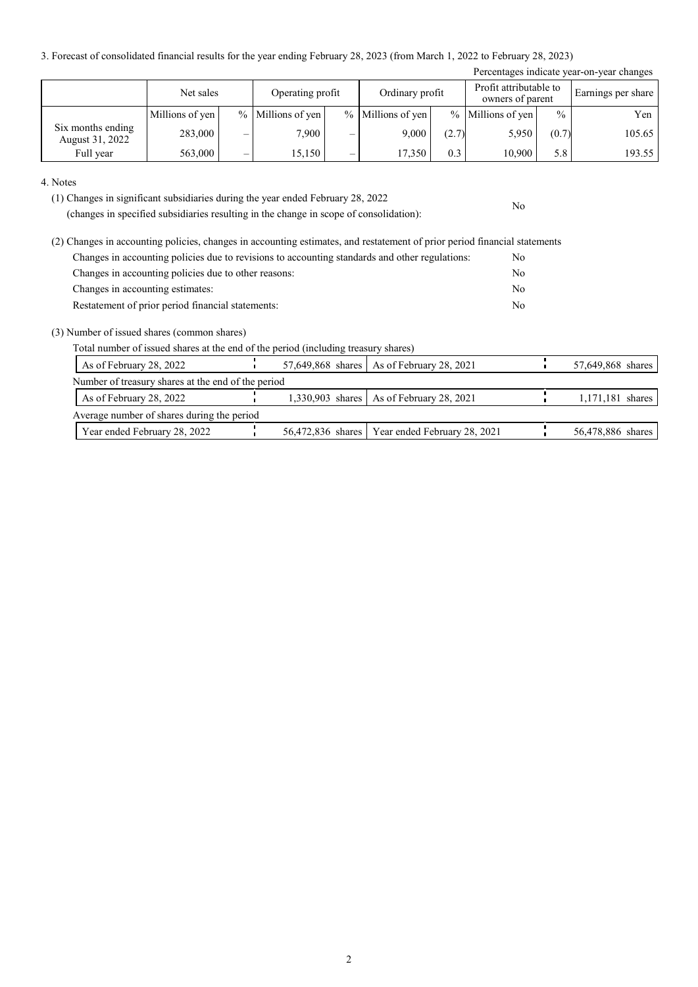3. Forecast of consolidated financial results for the year ending February 28, 2023 (from March 1, 2022 to February 28, 2023)

| Percentages indicate year-on-year changes |                 |   |                     |   |                   |       |                                            |               |                    |
|-------------------------------------------|-----------------|---|---------------------|---|-------------------|-------|--------------------------------------------|---------------|--------------------|
|                                           | Net sales       |   | Operating profit    |   | Ordinary profit   |       | Profit attributable to<br>owners of parent |               | Earnings per share |
|                                           | Millions of yen |   | $%$ Millions of yen |   | % Millions of yen |       | $%$ Millions of yen                        | $\frac{0}{0}$ | Yen                |
| Six months ending<br>August 31, 2022      | 283,000         |   | 7.900               |   | 9.000             | (2.7) | 5,950                                      | (0.7)         | 105.65             |
| Full year                                 | 563,000         | — | 15,150              | — | 17.350            | 0.3   | 10,900                                     | 5.8           | 193.55             |

No

#### 4. Notes

(1) Changes in significant subsidiaries during the year ended February 28, 2022

(changes in specified subsidiaries resulting in the change in scope of consolidation):

| (2) Changes in accounting policies, changes in accounting estimates, and restatement of prior period financial statements |     |
|---------------------------------------------------------------------------------------------------------------------------|-----|
| Changes in accounting policies due to revisions to accounting standards and other regulations:                            | No. |
| Changes in accounting policies due to other reasons:                                                                      | No  |
| Changes in accounting estimates:                                                                                          | No  |
| Restatement of prior period financial statements:                                                                         | No  |

#### (3) Number of issued shares (common shares)

Total number of issued shares at the end of the period (including treasury shares)

| As of February 28, 2022                            |  | 57,649,868 shares   As of February 28, 2021      | 57,649,868 shares |
|----------------------------------------------------|--|--------------------------------------------------|-------------------|
| Number of treasury shares at the end of the period |  |                                                  |                   |
| As of February 28, 2022                            |  | 1,330,903 shares   As of February 28, 2021       | 1,171,181 shares  |
| Average number of shares during the period         |  |                                                  |                   |
| Year ended February 28, 2022                       |  | 56,472,836 shares   Year ended February 28, 2021 | 56,478,886 shares |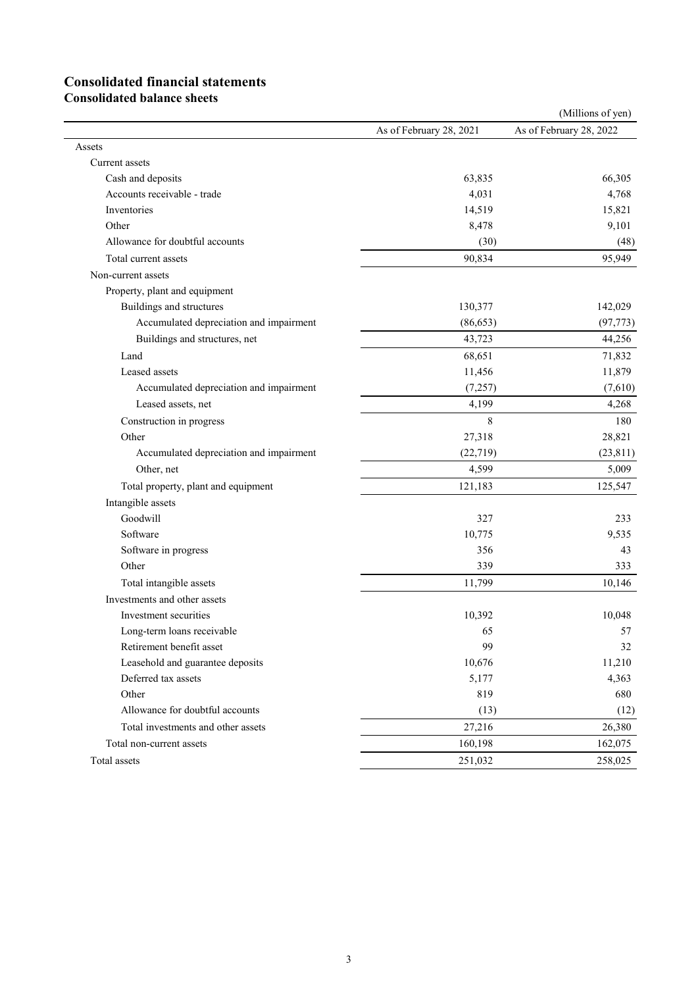# **Consolidated financial statements**

**Consolidated balance sheets**

|                                         |                         | (Millions of yen)       |
|-----------------------------------------|-------------------------|-------------------------|
|                                         | As of February 28, 2021 | As of February 28, 2022 |
| Assets                                  |                         |                         |
| Current assets                          |                         |                         |
| Cash and deposits                       | 63,835                  | 66,305                  |
| Accounts receivable - trade             | 4,031                   | 4,768                   |
| Inventories                             | 14,519                  | 15,821                  |
| Other                                   | 8,478                   | 9,101                   |
| Allowance for doubtful accounts         | (30)                    | (48)                    |
| Total current assets                    | 90,834                  | 95,949                  |
| Non-current assets                      |                         |                         |
| Property, plant and equipment           |                         |                         |
| Buildings and structures                | 130,377                 | 142,029                 |
| Accumulated depreciation and impairment | (86, 653)               | (97, 773)               |
| Buildings and structures, net           | 43,723                  | 44,256                  |
| Land                                    | 68,651                  | 71,832                  |
| Leased assets                           | 11,456                  | 11,879                  |
| Accumulated depreciation and impairment | (7,257)                 | (7,610)                 |
| Leased assets, net                      | 4,199                   | 4,268                   |
| Construction in progress                | 8                       | 180                     |
| Other                                   | 27,318                  | 28,821                  |
| Accumulated depreciation and impairment | (22, 719)               | (23, 811)               |
| Other, net                              | 4,599                   | 5,009                   |
| Total property, plant and equipment     | 121,183                 | 125,547                 |
| Intangible assets                       |                         |                         |
| Goodwill                                | 327                     | 233                     |
| Software                                | 10,775                  | 9,535                   |
| Software in progress                    | 356                     | 43                      |
| Other                                   | 339                     | 333                     |
| Total intangible assets                 | 11,799                  | 10,146                  |
| Investments and other assets            |                         |                         |
| Investment securities                   | 10,392                  | 10,048                  |
| Long-term loans receivable              | 65                      | 57                      |
| Retirement benefit asset                | 99                      | 32                      |
| Leasehold and guarantee deposits        | 10,676                  | 11,210                  |
| Deferred tax assets                     | 5,177                   | 4,363                   |
| Other                                   | 819                     | 680                     |
| Allowance for doubtful accounts         | (13)                    | (12)                    |
| Total investments and other assets      | 27,216                  | 26,380                  |
| Total non-current assets                | 160,198                 | 162,075                 |
| Total assets                            | 251,032                 | 258,025                 |
|                                         |                         |                         |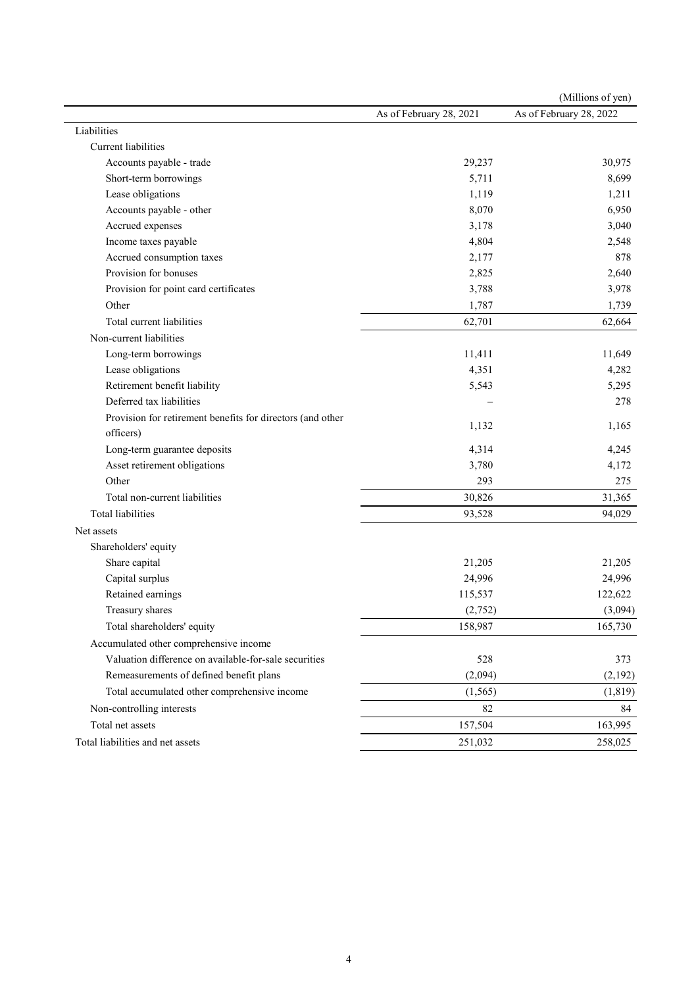|                                                            |                         | (Millions of yen)       |
|------------------------------------------------------------|-------------------------|-------------------------|
|                                                            | As of February 28, 2021 | As of February 28, 2022 |
| Liabilities                                                |                         |                         |
| Current liabilities                                        |                         |                         |
| Accounts payable - trade                                   | 29,237                  | 30,975                  |
| Short-term borrowings                                      | 5,711                   | 8,699                   |
| Lease obligations                                          | 1,119                   | 1,211                   |
| Accounts payable - other                                   | 8,070                   | 6,950                   |
| Accrued expenses                                           | 3,178                   | 3,040                   |
| Income taxes payable                                       | 4,804                   | 2,548                   |
| Accrued consumption taxes                                  | 2,177                   | 878                     |
| Provision for bonuses                                      | 2,825                   | 2,640                   |
| Provision for point card certificates                      | 3,788                   | 3,978                   |
| Other                                                      | 1,787                   | 1,739                   |
| Total current liabilities                                  | 62,701                  | 62,664                  |
| Non-current liabilities                                    |                         |                         |
| Long-term borrowings                                       | 11,411                  | 11,649                  |
| Lease obligations                                          | 4,351                   | 4,282                   |
| Retirement benefit liability                               | 5,543                   | 5,295                   |
| Deferred tax liabilities                                   |                         | 278                     |
| Provision for retirement benefits for directors (and other |                         |                         |
| officers)                                                  | 1,132                   | 1,165                   |
| Long-term guarantee deposits                               | 4,314                   | 4,245                   |
| Asset retirement obligations                               | 3,780                   | 4,172                   |
| Other                                                      | 293                     | 275                     |
| Total non-current liabilities                              | 30,826                  | 31,365                  |
| <b>Total liabilities</b>                                   | 93,528                  | 94,029                  |
| Net assets                                                 |                         |                         |
| Shareholders' equity                                       |                         |                         |
| Share capital                                              | 21,205                  | 21,205                  |
| Capital surplus                                            | 24,996                  | 24,996                  |
| Retained earnings                                          | 115,537                 | 122,622                 |
| Treasury shares                                            | (2,752)                 | (3,094)                 |
| Total shareholders' equity                                 | 158,987                 | 165,730                 |
| Accumulated other comprehensive income                     |                         |                         |
| Valuation difference on available-for-sale securities      | 528                     | 373                     |
| Remeasurements of defined benefit plans                    | (2,094)                 | (2,192)                 |
| Total accumulated other comprehensive income               | (1, 565)                | (1, 819)                |
| Non-controlling interests                                  | 82                      | 84                      |
| Total net assets                                           | 157,504                 | 163,995                 |
| Total liabilities and net assets                           | 251,032                 | 258,025                 |
|                                                            |                         |                         |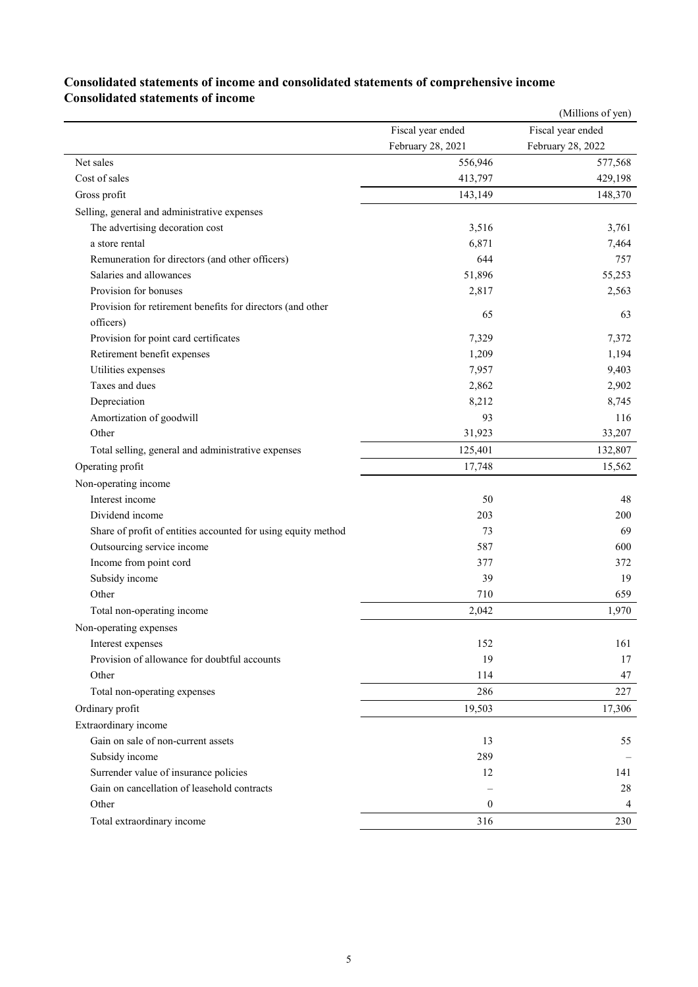|                                                               |                   | (Millions of yen) |
|---------------------------------------------------------------|-------------------|-------------------|
|                                                               | Fiscal year ended | Fiscal year ended |
|                                                               | February 28, 2021 | February 28, 2022 |
| Net sales                                                     | 556,946           | 577,568           |
| Cost of sales                                                 | 413,797           | 429,198           |
| Gross profit                                                  | 143,149           | 148,370           |
| Selling, general and administrative expenses                  |                   |                   |
| The advertising decoration cost                               | 3,516             | 3,761             |
| a store rental                                                | 6,871             | 7,464             |
| Remuneration for directors (and other officers)               | 644               | 757               |
| Salaries and allowances                                       | 51,896            | 55,253            |
| Provision for bonuses                                         | 2,817             | 2,563             |
| Provision for retirement benefits for directors (and other    | 65                | 63                |
| officers)                                                     |                   |                   |
| Provision for point card certificates                         | 7,329             | 7,372             |
| Retirement benefit expenses                                   | 1,209             | 1,194             |
| Utilities expenses                                            | 7,957             | 9,403             |
| Taxes and dues                                                | 2,862             | 2,902             |
| Depreciation                                                  | 8,212             | 8,745             |
| Amortization of goodwill                                      | 93                | 116               |
| Other                                                         | 31,923            | 33,207            |
| Total selling, general and administrative expenses            | 125,401           | 132,807           |
| Operating profit                                              | 17,748            | 15,562            |
| Non-operating income                                          |                   |                   |
| Interest income                                               | 50                | 48                |
| Dividend income                                               | 203               | 200               |
| Share of profit of entities accounted for using equity method | 73                | 69                |
| Outsourcing service income                                    | 587               | 600               |
| Income from point cord                                        | 377               | 372               |
| Subsidy income                                                | 39                | 19                |
| Other                                                         | 710               | 659               |
| Total non-operating income                                    | 2,042             | 1,970             |
| Non-operating expenses                                        |                   |                   |
| Interest expenses                                             | 152               | 161               |
| Provision of allowance for doubtful accounts                  | 19                | 17                |
| Other                                                         | 114               | 47                |
| Total non-operating expenses                                  | 286               | 227               |
| Ordinary profit                                               | 19,503            | 17,306            |
| Extraordinary income                                          |                   |                   |
| Gain on sale of non-current assets                            | 13                | 55                |
| Subsidy income                                                | 289               |                   |
| Surrender value of insurance policies                         | 12                | 141               |
| Gain on cancellation of leasehold contracts                   |                   | 28                |
| Other                                                         | $\boldsymbol{0}$  | 4                 |
| Total extraordinary income                                    | 316               | 230               |

### **Consolidated statements of income and consolidated statements of comprehensive income Consolidated statements of income**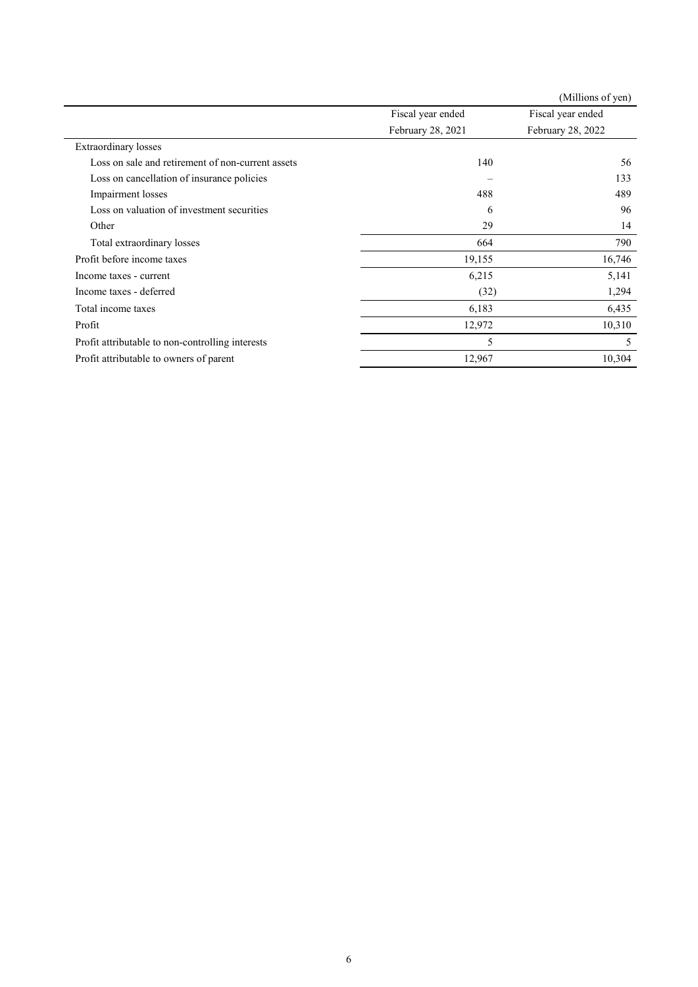|                                                   |                   | (Millions of yen) |
|---------------------------------------------------|-------------------|-------------------|
|                                                   | Fiscal year ended | Fiscal year ended |
|                                                   | February 28, 2021 | February 28, 2022 |
| <b>Extraordinary</b> losses                       |                   |                   |
| Loss on sale and retirement of non-current assets | 140               | 56                |
| Loss on cancellation of insurance policies        |                   | 133               |
| Impairment losses                                 | 488               | 489               |
| Loss on valuation of investment securities        | 6                 | 96                |
| Other                                             | 29                | 14                |
| Total extraordinary losses                        | 664               | 790               |
| Profit before income taxes                        | 19,155            | 16,746            |
| Income taxes - current                            | 6,215             | 5,141             |
| Income taxes - deferred                           | (32)              | 1,294             |
| Total income taxes                                | 6,183             | 6,435             |
| Profit                                            | 12,972            | 10,310            |
| Profit attributable to non-controlling interests  | 5                 | 5                 |
| Profit attributable to owners of parent           | 12,967            | 10,304            |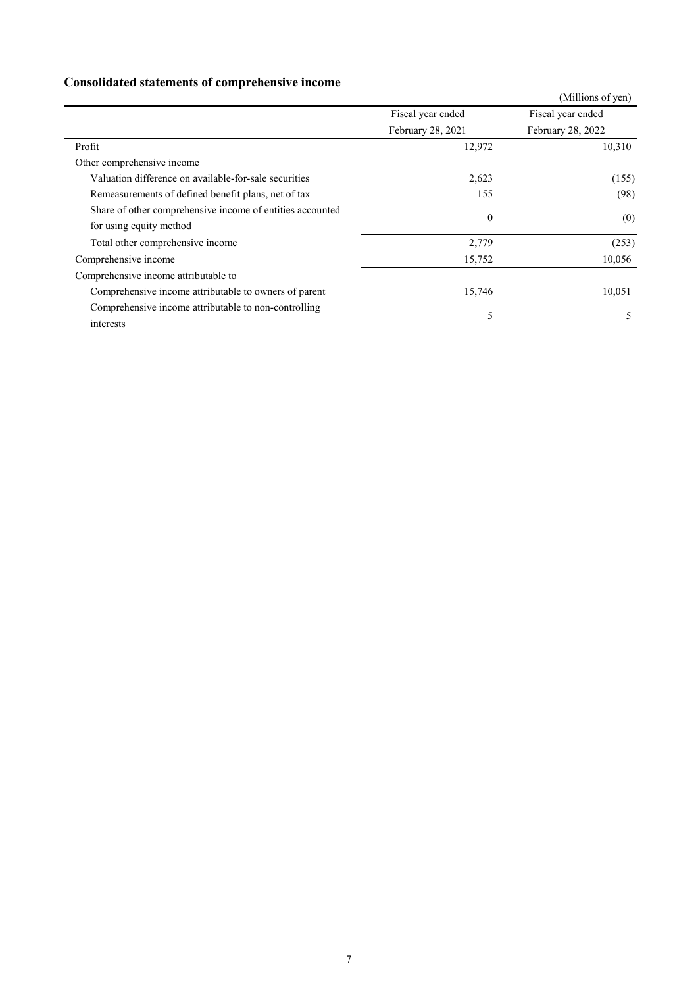## **Consolidated statements of comprehensive income**

|                                                           |                   | (Millions of yen) |
|-----------------------------------------------------------|-------------------|-------------------|
|                                                           | Fiscal year ended | Fiscal year ended |
|                                                           | February 28, 2021 | February 28, 2022 |
| Profit                                                    | 12,972            | 10,310            |
| Other comprehensive income                                |                   |                   |
| Valuation difference on available-for-sale securities     | 2,623             | (155)             |
| Remeasurements of defined benefit plans, net of tax       | 155               | (98)              |
| Share of other comprehensive income of entities accounted | $\mathbf{0}$      | (0)               |
| for using equity method                                   |                   |                   |
| Total other comprehensive income                          | 2,779             | (253)             |
| Comprehensive income                                      | 15,752            | 10,056            |
| Comprehensive income attributable to                      |                   |                   |
| Comprehensive income attributable to owners of parent     | 15,746            | 10,051            |
| Comprehensive income attributable to non-controlling      | 5                 | 5                 |
| interests                                                 |                   |                   |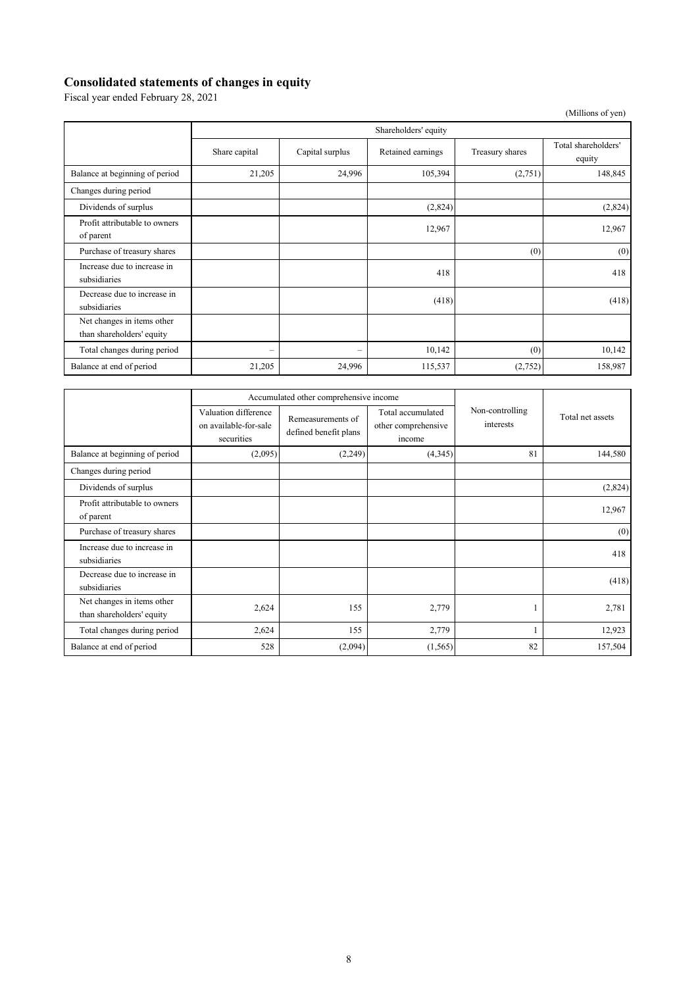## **Consolidated statements of changes in equity**

Fiscal year ended February 28, 2021

| (Millions of yen)                                       |                          |                 |                   |                 |                               |
|---------------------------------------------------------|--------------------------|-----------------|-------------------|-----------------|-------------------------------|
|                                                         | Shareholders' equity     |                 |                   |                 |                               |
|                                                         | Share capital            | Capital surplus | Retained earnings | Treasury shares | Total shareholders'<br>equity |
| Balance at beginning of period                          | 21,205                   | 24,996          | 105,394           | (2,751)         | 148,845                       |
| Changes during period                                   |                          |                 |                   |                 |                               |
| Dividends of surplus                                    |                          |                 | (2,824)           |                 | (2,824)                       |
| Profit attributable to owners<br>of parent              |                          |                 | 12,967            |                 | 12,967                        |
| Purchase of treasury shares                             |                          |                 |                   | (0)             | (0)                           |
| Increase due to increase in<br>subsidiaries             |                          |                 | 418               |                 | 418                           |
| Decrease due to increase in<br>subsidiaries             |                          |                 | (418)             |                 | (418)                         |
| Net changes in items other<br>than shareholders' equity |                          |                 |                   |                 |                               |
| Total changes during period                             | $\overline{\phantom{0}}$ | -               | 10,142            | (0)             | 10,142                        |
| Balance at end of period                                | 21,205                   | 24,996          | 115,537           | (2,752)         | 158,987                       |

|                                                         |                                                             | Accumulated other comprehensive income     |                                                    |                              |                  |
|---------------------------------------------------------|-------------------------------------------------------------|--------------------------------------------|----------------------------------------------------|------------------------------|------------------|
|                                                         | Valuation difference<br>on available-for-sale<br>securities | Remeasurements of<br>defined benefit plans | Total accumulated<br>other comprehensive<br>income | Non-controlling<br>interests | Total net assets |
| Balance at beginning of period                          | (2,095)                                                     | (2,249)                                    | (4,345)                                            | 81                           | 144,580          |
| Changes during period                                   |                                                             |                                            |                                                    |                              |                  |
| Dividends of surplus                                    |                                                             |                                            |                                                    |                              | (2,824)          |
| Profit attributable to owners<br>of parent              |                                                             |                                            |                                                    |                              | 12,967           |
| Purchase of treasury shares                             |                                                             |                                            |                                                    |                              | (0)              |
| Increase due to increase in<br>subsidiaries             |                                                             |                                            |                                                    |                              | 418              |
| Decrease due to increase in<br>subsidiaries             |                                                             |                                            |                                                    |                              | (418)            |
| Net changes in items other<br>than shareholders' equity | 2,624                                                       | 155                                        | 2,779                                              |                              | 2,781            |
| Total changes during period                             | 2,624                                                       | 155                                        | 2,779                                              |                              | 12,923           |
| Balance at end of period                                | 528                                                         | (2,094)                                    | (1, 565)                                           | 82                           | 157,504          |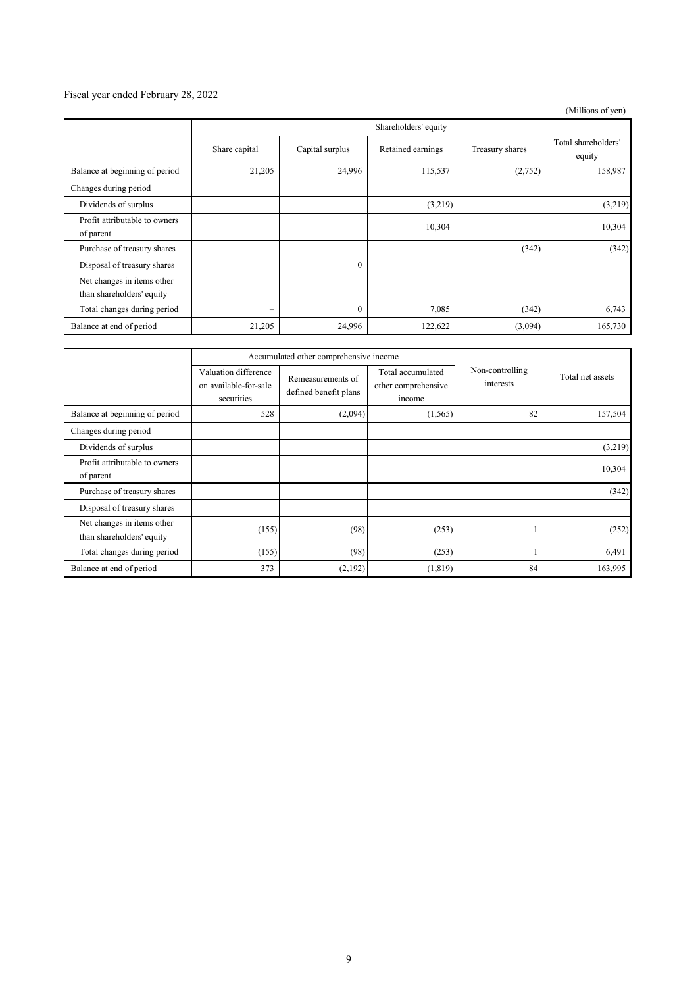### Fiscal year ended February 28, 2022

(Millions of yen)

|                                                         | Shareholders' equity |                 |                   |                 |                               |
|---------------------------------------------------------|----------------------|-----------------|-------------------|-----------------|-------------------------------|
|                                                         | Share capital        | Capital surplus | Retained earnings | Treasury shares | Total shareholders'<br>equity |
| Balance at beginning of period                          | 21,205               | 24,996          | 115,537           | (2,752)         | 158,987                       |
| Changes during period                                   |                      |                 |                   |                 |                               |
| Dividends of surplus                                    |                      |                 | (3,219)           |                 | (3,219)                       |
| Profit attributable to owners<br>of parent              |                      |                 | 10,304            |                 | 10,304                        |
| Purchase of treasury shares                             |                      |                 |                   | (342)           | (342)                         |
| Disposal of treasury shares                             |                      | 0               |                   |                 |                               |
| Net changes in items other<br>than shareholders' equity |                      |                 |                   |                 |                               |
| Total changes during period                             | $\qquad \qquad =$    | $\Omega$        | 7,085             | (342)           | 6,743                         |
| Balance at end of period                                | 21,205               | 24,996          | 122,622           | (3,094)         | 165,730                       |

|                                                         | Accumulated other comprehensive income                      |                                            |                                                    |                              |                  |
|---------------------------------------------------------|-------------------------------------------------------------|--------------------------------------------|----------------------------------------------------|------------------------------|------------------|
|                                                         | Valuation difference<br>on available-for-sale<br>securities | Remeasurements of<br>defined benefit plans | Total accumulated<br>other comprehensive<br>income | Non-controlling<br>interests | Total net assets |
| Balance at beginning of period                          | 528                                                         | (2,094)                                    | (1, 565)                                           | 82                           | 157,504          |
| Changes during period                                   |                                                             |                                            |                                                    |                              |                  |
| Dividends of surplus                                    |                                                             |                                            |                                                    |                              | (3,219)          |
| Profit attributable to owners<br>of parent              |                                                             |                                            |                                                    |                              | 10,304           |
| Purchase of treasury shares                             |                                                             |                                            |                                                    |                              | (342)            |
| Disposal of treasury shares                             |                                                             |                                            |                                                    |                              |                  |
| Net changes in items other<br>than shareholders' equity | (155)                                                       | (98)                                       | (253)                                              |                              | (252)            |
| Total changes during period                             | (155)                                                       | (98)                                       | (253)                                              |                              | 6,491            |
| Balance at end of period                                | 373                                                         | (2,192)                                    | (1, 819)                                           | 84                           | 163,995          |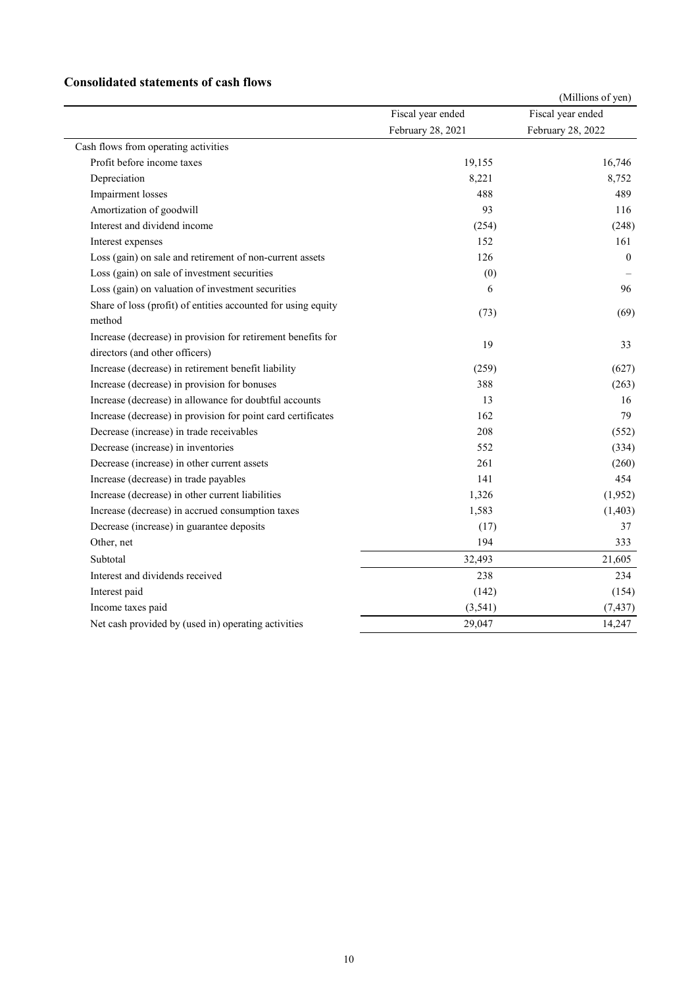### **Consolidated statements of cash flows**

|                                                                                                |                   | (Millions of yen) |
|------------------------------------------------------------------------------------------------|-------------------|-------------------|
|                                                                                                | Fiscal year ended | Fiscal year ended |
|                                                                                                | February 28, 2021 | February 28, 2022 |
| Cash flows from operating activities                                                           |                   |                   |
| Profit before income taxes                                                                     | 19,155            | 16,746            |
| Depreciation                                                                                   | 8,221             | 8,752             |
| Impairment losses                                                                              | 488               | 489               |
| Amortization of goodwill                                                                       | 93                | 116               |
| Interest and dividend income                                                                   | (254)             | (248)             |
| Interest expenses                                                                              | 152               | 161               |
| Loss (gain) on sale and retirement of non-current assets                                       | 126               | $\theta$          |
| Loss (gain) on sale of investment securities                                                   | (0)               |                   |
| Loss (gain) on valuation of investment securities                                              | 6                 | 96                |
| Share of loss (profit) of entities accounted for using equity<br>method                        | (73)              | (69)              |
| Increase (decrease) in provision for retirement benefits for<br>directors (and other officers) | 19                | 33                |
| Increase (decrease) in retirement benefit liability                                            | (259)             | (627)             |
| Increase (decrease) in provision for bonuses                                                   | 388               | (263)             |
| Increase (decrease) in allowance for doubtful accounts                                         | 13                | 16                |
| Increase (decrease) in provision for point card certificates                                   | 162               | 79                |
| Decrease (increase) in trade receivables                                                       | 208               | (552)             |
| Decrease (increase) in inventories                                                             | 552               | (334)             |
| Decrease (increase) in other current assets                                                    | 261               | (260)             |
| Increase (decrease) in trade payables                                                          | 141               | 454               |
| Increase (decrease) in other current liabilities                                               | 1,326             | (1,952)           |
| Increase (decrease) in accrued consumption taxes                                               | 1,583             | (1, 403)          |
| Decrease (increase) in guarantee deposits                                                      | (17)              | 37                |
| Other, net                                                                                     | 194               | 333               |
| Subtotal                                                                                       | 32,493            | 21,605            |
| Interest and dividends received                                                                | 238               | 234               |
| Interest paid                                                                                  | (142)             | (154)             |
| Income taxes paid                                                                              | (3,541)           | (7, 437)          |
| Net cash provided by (used in) operating activities                                            | 29,047            | 14,247            |
|                                                                                                |                   |                   |